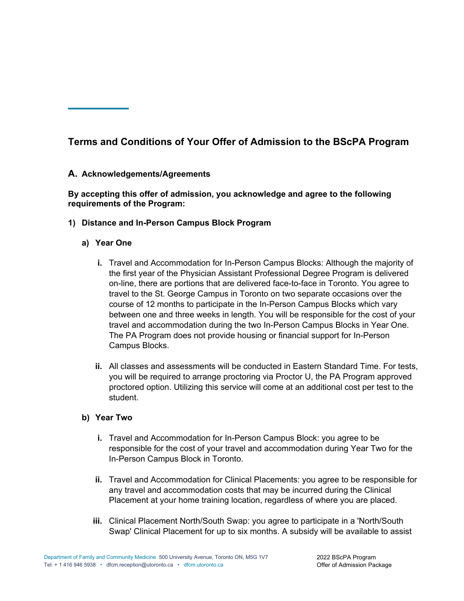# **Terms and Conditions of Your Offer of Admission to the BScPA Program**

## **A. Acknowledgements/Agreements**

### **By accepting this offer of admission, you acknowledge and agree to the following requirements of the Program:**

#### **1) Distance and In-Person Campus Block Program**

- **a) Year One** 
	- **i.** Travel and Accommodation for In-Person Campus Blocks: Although the majority of the first year of the Physician Assistant Professional Degree Program is delivered on-line, there are portions that are delivered face-to-face in Toronto. You agree to travel to the St. George Campus in Toronto on two separate occasions over the course of 12 months to participate in the In-Person Campus Blocks which vary between one and three weeks in length. You will be responsible for the cost of your travel and accommodation during the two In-Person Campus Blocks in Year One. The PA Program does not provide housing or financial support for In-Person Campus Blocks.
	- **ii.** All classes and assessments will be conducted in Eastern Standard Time. For tests, you will be required to arrange proctoring via Proctor U, the PA Program approved proctored option. Utilizing this service will come at an additional cost per test to the student.

#### **b) Year Two**

- **i.** Travel and Accommodation for In-Person Campus Block: you agree to be responsible for the cost of your travel and accommodation during Year Two for the In-Person Campus Block in Toronto.
- **ii.** Travel and Accommodation for Clinical Placements: you agree to be responsible for any travel and accommodation costs that may be incurred during the Clinical Placement at your home training location, regardless of where you are placed.
- **iii.** Clinical Placement North/South Swap: you agree to participate in a 'North/South Swap' Clinical Placement for up to six months. A subsidy will be available to assist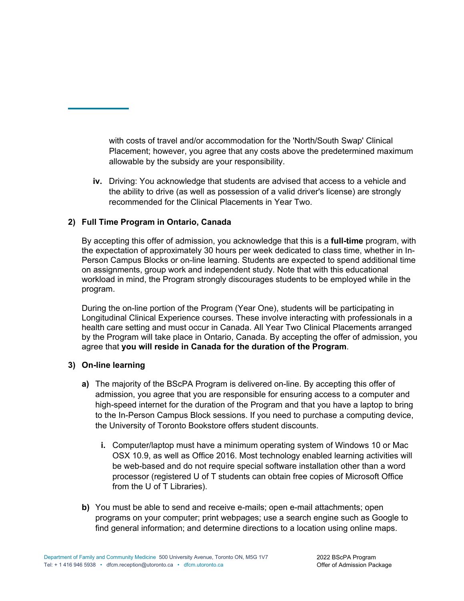with costs of travel and/or accommodation for the 'North/South Swap' Clinical Placement; however, you agree that any costs above the predetermined maximum allowable by the subsidy are your responsibility.

**iv.** Driving: You acknowledge that students are advised that access to a vehicle and the ability to drive (as well as possession of a valid driver's license) are strongly recommended for the Clinical Placements in Year Two.

## **2) Full Time Program in Ontario, Canada**

By accepting this offer of admission, you acknowledge that this is a **full-time** program, with the expectation of approximately 30 hours per week dedicated to class time, whether in In-Person Campus Blocks or on-line learning. Students are expected to spend additional time on assignments, group work and independent study. Note that with this educational workload in mind, the Program strongly discourages students to be employed while in the program.

During the on-line portion of the Program (Year One), students will be participating in Longitudinal Clinical Experience courses. These involve interacting with professionals in a health care setting and must occur in Canada. All Year Two Clinical Placements arranged by the Program will take place in Ontario, Canada. By accepting the offer of admission, you agree that **you will reside in Canada for the duration of the Program**.

#### **3) On-line learning**

- **a)** The majority of the BScPA Program is delivered on-line. By accepting this offer of admission, you agree that you are responsible for ensuring access to a computer and high-speed internet for the duration of the Program and that you have a laptop to bring to the In-Person Campus Block sessions. If you need to purchase a computing device, the University of Toronto Bookstore offers student discounts.
	- **i.** Computer/laptop must have a minimum operating system of Windows 10 or Mac OSX 10.9, as well as Office 2016. Most technology enabled learning activities will be web-based and do not require special software installation other than a word processor (registered U of T students can obtain free copies of Microsoft Office from the U of T Libraries).
- **b)** You must be able to send and receive e-mails; open e-mail attachments; open programs on your computer; print webpages; use a search engine such as Google to find general information; and determine directions to a location using online maps.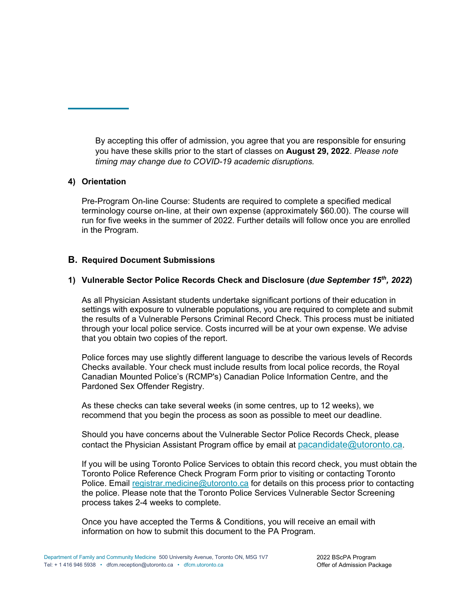By accepting this offer of admission, you agree that you are responsible for ensuring you have these skills prior to the start of classes on **August 29, 2022**. *Please note timing may change due to COVID-19 academic disruptions.*

#### **4) Orientation**

Pre-Program On-line Course: Students are required to complete a specified medical terminology course on-line, at their own expense (approximately \$60.00). The course will run for five weeks in the summer of 2022. Further details will follow once you are enrolled in the Program.

#### **B. Required Document Submissions**

#### **1) Vulnerable Sector Police Records Check and Disclosure (***due September 15th, 2022***)**

As all Physician Assistant students undertake significant portions of their education in settings with exposure to vulnerable populations, you are required to complete and submit the results of a Vulnerable Persons Criminal Record Check. This process must be initiated through your local police service. Costs incurred will be at your own expense. We advise that you obtain two copies of the report.

Police forces may use slightly different language to describe the various levels of Records Checks available. Your check must include results from local police records, the Royal Canadian Mounted Police's (RCMP's) Canadian Police Information Centre, and the Pardoned Sex Offender Registry.

As these checks can take several weeks (in some centres, up to 12 weeks), we recommend that you begin the process as soon as possible to meet our deadline.

Should you have concerns about the Vulnerable Sector Police Records Check, please contact the Physician Assistant Program office by email at pacandidate@utoronto.ca.

If you will be using Toronto Police Services to obtain this record check, you must obtain the Toronto Police Reference Check Program Form prior to visiting or contacting Toronto Police. Email registrar.medicine@utoronto.ca for details on this process prior to contacting the police. Please note that the Toronto Police Services Vulnerable Sector Screening process takes 2-4 weeks to complete.

Once you have accepted the Terms & Conditions, you will receive an email with information on how to submit this document to the PA Program.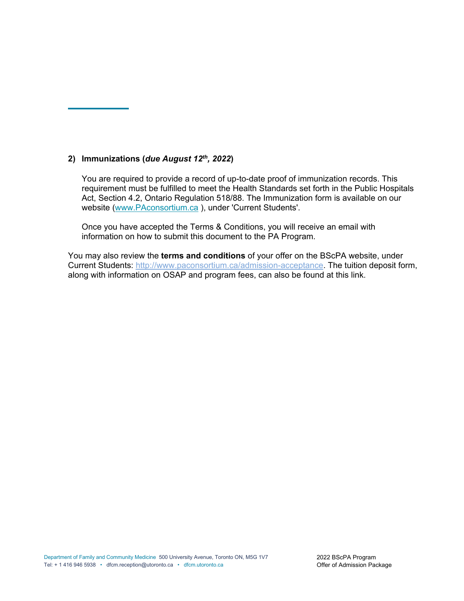## **2) Immunizations (***due August 12th, 2022***)**

You are required to provide a record of up-to-date proof of immunization records. This requirement must be fulfilled to meet the Health Standards set forth in the Public Hospitals Act, Section 4.2, Ontario Regulation 518/88. The Immunization form is available on our website (www.PAconsortium.ca ), under 'Current Students'.

Once you have accepted the Terms & Conditions, you will receive an email with information on how to submit this document to the PA Program.

You may also review the **terms and conditions** of your offer on the BScPA website, under Current Students: http://www.paconsortium.ca/admission-acceptance. The tuition deposit form, along with information on OSAP and program fees, can also be found at this link.